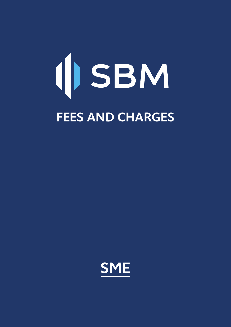# (JSBM **FEES AND CHARGES**

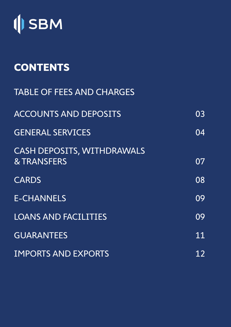

# **CONTENTS**

| <b>TABLE OF FEES AND CHARGES</b>                            |                 |
|-------------------------------------------------------------|-----------------|
| <b>ACCOUNTS AND DEPOSITS</b>                                | $0\overline{3}$ |
| <b>GENERAL SERVICES</b>                                     | 04              |
| <b>CASH DEPOSITS, WITHDRAWALS</b><br><b>&amp; TRANSFERS</b> | 07              |
| <b>CARDS</b>                                                | 08              |
| <b>E-CHANNELS</b>                                           | 09              |
| <b>LOANS AND FACILITIES</b>                                 | 09              |
| <b>GUARANTEES</b>                                           | 11              |
| <b>IMPORTS AND EXPORTS</b>                                  | 12              |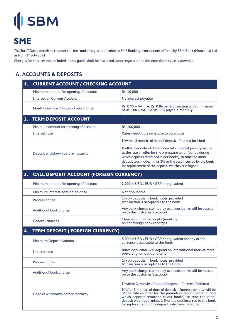### **SME**

This Tariff Guide details hereunder the fees and charges applicable to SME Banking transactions offered by SBM Bank (Mauritius) Ltd as from 1<sup>st</sup> July 2021.

Charges for services not included in this guide shall be disclosed upon request or at the time the service is provided.

#### **A. ACCOUNTS & DEPOSITS**

| 1. | <b>CURRENT ACCOUNT / CHECKING ACCOUNT</b>      |                                                                                                                                                                                                                                                                                                                                                                                   |
|----|------------------------------------------------|-----------------------------------------------------------------------------------------------------------------------------------------------------------------------------------------------------------------------------------------------------------------------------------------------------------------------------------------------------------------------------------|
|    | Minimum amount for opening of account          | Rs. 10,000                                                                                                                                                                                                                                                                                                                                                                        |
|    | <b>Interest on Current Account</b>             | No interest payable                                                                                                                                                                                                                                                                                                                                                               |
|    | Monthly service charges - Folio charge         | Rs. 0.75 + VAT, i.e. Rs. 0.86 per transaction with a minimum<br>of Rs. 100 + VAT, i.e. Rs. 115 payable monthly                                                                                                                                                                                                                                                                    |
| 2. | <b>TERM DEPOSIT ACCOUNT</b>                    |                                                                                                                                                                                                                                                                                                                                                                                   |
|    | Minimum amount for opening of account          | Rs. 100,000                                                                                                                                                                                                                                                                                                                                                                       |
|    | Interest rate                                  | Rates negotiable on a case to case basis                                                                                                                                                                                                                                                                                                                                          |
|    |                                                | If within 3 months of date of deposit - Interest forfeited                                                                                                                                                                                                                                                                                                                        |
|    | Deposit withdrawn before maturity              | If after 3 months of date of deposit - Interest penalty will be<br>at the rate on offer for the premature tenor (period during<br>which deposits remained in our books), at time the initial<br>deposit was made, minus 1% or the cost incurred by the bank<br>for replacement of the deposit, whichever is higher                                                                |
| 3. | <b>CALL DEPOSIT ACCOUNT (FOREIGN CURRENCY)</b> |                                                                                                                                                                                                                                                                                                                                                                                   |
|    | Minimum amount for opening of account          | 2,000 in USD / EUR / GBP or equivalent                                                                                                                                                                                                                                                                                                                                            |
|    | Minimum interest earning balance               | Not applicable                                                                                                                                                                                                                                                                                                                                                                    |
|    | Processing fee                                 | 1% on deposits in bank notes, provided<br>transaction is acceptable to the bank                                                                                                                                                                                                                                                                                                   |
|    | <b>Additional bank charge</b>                  | Any bank charge claimed by overseas banks will be passed<br>on to the customer's account                                                                                                                                                                                                                                                                                          |
|    | <b>General charges</b>                         | Charges on CHF accounts (monthly):<br>As per foreign banks charges                                                                                                                                                                                                                                                                                                                |
| 4. | <b>TERM DEPOSIT (FOREIGN CURRENCY)</b>         |                                                                                                                                                                                                                                                                                                                                                                                   |
|    | <b>Minimum Deposit Amount</b>                  | 5,000 in USD / EUR / GBP or equivalent for any other<br>currency acceptable to the Bank                                                                                                                                                                                                                                                                                           |
|    | Interest rate                                  | Rates applicable will depend on international market rates<br>prevailing, amount and tenor                                                                                                                                                                                                                                                                                        |
|    | Processing fee                                 | 1% on deposits in bank notes, provided<br>transaction is acceptable to the Bank                                                                                                                                                                                                                                                                                                   |
|    | <b>Additional bank charge</b>                  | Any bank charge claimed by overseas banks will be passed<br>on to the customer's account                                                                                                                                                                                                                                                                                          |
|    | Deposit withdrawn before maturity              | If within 3 months of date of deposit - Interest forfeited<br>If after 3 months of date of deposit - Interest penalty will be<br>at the rate on offer for the premature tenor (period during<br>which deposits remained in our books), at time the initial<br>deposit was made, minus 1 % or the cost incurred by the bank<br>for replacement of the deposit, whichever is higher |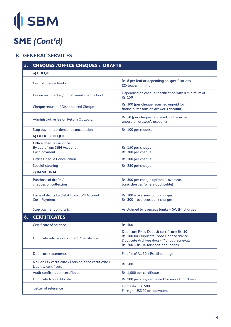### **SME (Cont'd)**

#### **B . GENERAL SERVICES**

| 5. | <b>CHEQUES / OFFICE CHEQUES / DRAFTS</b>                                          |                                                                                                                                                                                                  |
|----|-----------------------------------------------------------------------------------|--------------------------------------------------------------------------------------------------------------------------------------------------------------------------------------------------|
|    | a) CHEQUE                                                                         |                                                                                                                                                                                                  |
|    | Cost of cheque books                                                              | Rs. 6 per leaf or depending on specifications<br>(25 leaves minimum)                                                                                                                             |
|    | Fee on uncollected/ undelivered cheque book                                       | Depending on cheque specification with a minimum of<br>Rs. 150                                                                                                                                   |
|    | Cheque returned/ Dishonoured Cheque                                               | Rs. 300 (per cheque returned unpaid for<br>financial reasons on drawer's account)                                                                                                                |
|    | Administrative fee on Return Outward                                              | Rs. 50 (per cheque deposited and returned<br>unpaid on drawee's account)                                                                                                                         |
|    | Stop payment orders and cancellation                                              | Rs. 100 per request                                                                                                                                                                              |
|    | <b>b) OFFICE CHEQUE</b>                                                           |                                                                                                                                                                                                  |
|    | <b>Office cheque issuance</b><br>By debit from SBM Account<br><b>Cash payment</b> | Rs. 150 per cheque<br>Rs. 300 per cheque                                                                                                                                                         |
|    | <b>Office Cheque Cancellation</b>                                                 | Rs. 100 per cheque                                                                                                                                                                               |
|    | <b>Special clearing</b>                                                           | Rs. 250 per cheque                                                                                                                                                                               |
|    | c) BANK DRAFT                                                                     |                                                                                                                                                                                                  |
|    | Purchase of drafts /<br>cheques on collection                                     | Rs. 300 per cheque upfront + overseas<br>bank charges (where applicable)                                                                                                                         |
|    | Issue of drafts by Debit from SBM Account<br><b>Cash Payment</b>                  | Rs. 200 + overseas bank charges<br>Rs. 300 + overseas bank charges                                                                                                                               |
|    | Stop payment on drafts                                                            | As claimed by overseas banks + SWIFT charges                                                                                                                                                     |
| 6. | <b>CERTIFICATES</b>                                                               |                                                                                                                                                                                                  |
|    | <b>Certificate of balance</b>                                                     | Rs. 500                                                                                                                                                                                          |
|    | Duplicate advice /instrument / certificate                                        | <b>Duplicate Fixed Deposit certificate: Rs. 50</b><br>Rs. 100 for Duplicate Trade Finance advice<br><b>Duplicate Archives docs - Manual retrieval:</b><br>Rs. 200 + Rs. 10 for additional pages. |
|    | <b>Duplicate statements</b>                                                       | Flat fee of Rs. $50 + Rs$ . 15 per page                                                                                                                                                          |
|    | No liability certificate / Loan balance certificate /<br>Liability certificate    | Rs. 500                                                                                                                                                                                          |
|    | Audit confirmation certificate                                                    | Rs. 1,000 per certificate                                                                                                                                                                        |
|    | Duplicate tax certificate                                                         | Rs. 100 per copy requested for more than 1 year                                                                                                                                                  |
|    | Letter of reference                                                               | Domestic: Rs. 500<br>Foreign: USD20 or equivalent                                                                                                                                                |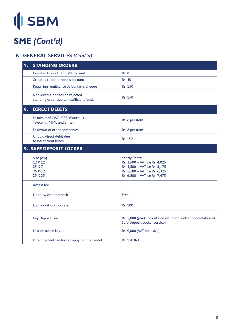# (SBM

### **SME (Cont'd)**

### **B . GENERAL SERVICES (Cont'd)**

| 7. | <b>STANDING ORDERS</b>                                                     |                                                                                                                                                              |
|----|----------------------------------------------------------------------------|--------------------------------------------------------------------------------------------------------------------------------------------------------------|
|    | <b>Credited to another SBM account</b>                                     | <b>Rs. 8</b>                                                                                                                                                 |
|    | Credited to other bank's account                                           | <b>Rs. 40</b>                                                                                                                                                |
|    | Requiring remittance by banker's cheque                                    | Rs. 150                                                                                                                                                      |
|    | Non-execution fees on rejected<br>standing order due to insufficient funds | Rs. 150                                                                                                                                                      |
| 8. | <b>DIRECT DEBITS</b>                                                       |                                                                                                                                                              |
|    | In favour of CWA, CEB, Mauritius<br>Telecom, MTML and Emtel                | Rs. 6 per item                                                                                                                                               |
|    | In favour of other companies                                               | Rs. 8 per item                                                                                                                                               |
|    | Unpaid direct debit due<br>to insufficient funds                           | Rs. 150                                                                                                                                                      |
|    | 9. SAFE DEPOSIT LOCKER                                                     |                                                                                                                                                              |
|    | Size (cm)<br>$12 \times 12$<br>25 X 7<br>$25 \times 12$<br>25 X 25         | <b>Yearly Rental</b><br>Rs. 3,500 + VAT, i.e Rs. 4,025<br>Rs. 4,500 + VAT, i.e Rs. 5,175<br>Rs. 5,500 + VAT, i.e Rs. 6,325<br>Rs. 6,500 + VAT, i.e Rs. 7,475 |
|    | Access fee:                                                                |                                                                                                                                                              |
|    | Up to twice per month                                                      | Free                                                                                                                                                         |
|    | <b>Each additional access</b>                                              | Rs. 100                                                                                                                                                      |
|    | <b>Key Deposit Fee</b>                                                     | Rs. 5,000 (paid upfront and refundable after cancellation of<br>Safe Deposit Locker service)                                                                 |
|    | Lost or stolen key                                                         | Rs. 9,000 (VAT inclusive)                                                                                                                                    |
|    | Late payment fee for non-payment of rental                                 | <b>Rs. 150 flat</b>                                                                                                                                          |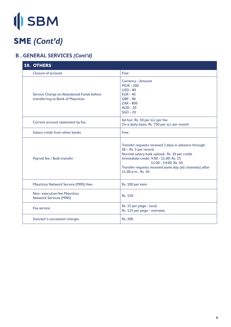# **ISBM**

### **SME (Cont'd)**

### **B . GENERAL SERVICES (Cont'd)**

| <b>10. OTHERS</b>                                                             |                                                                                                                                                                                                                                                                                       |
|-------------------------------------------------------------------------------|---------------------------------------------------------------------------------------------------------------------------------------------------------------------------------------------------------------------------------------------------------------------------------------|
| Closure of account                                                            | Free                                                                                                                                                                                                                                                                                  |
| Service Charge on Abandoned Funds before<br>transferring to Bank of Mauritius | Currency - Amount<br><b>MUR - 200</b><br>$USD - 80$<br>$EUR - 40$<br>$GBP - 40$<br><b>ZAR - 800</b><br><b>AUD - 20</b><br>$SGD - 20$                                                                                                                                                  |
| Current account statement by fax                                              | Ad hoc: Rs. 50 per a/c per fax<br>On a daily basis: Rs. 750 per a/c per month                                                                                                                                                                                                         |
| Salary credit from other banks                                                | Free                                                                                                                                                                                                                                                                                  |
| Payroll fee / Bulk transfer                                                   | Transfer requests received 2 days in advance through<br>IB-Rs. 5 per record<br>Normal salary bulk upload: Rs. 10 per credit<br>Immediate credit: 9:00 - 11:00: Rs. 25<br>$11:00 - 14:00$ : Rs. 50<br>Transfer requests received same day (all channels) after<br>11.00 $a.m.: Rs. 50$ |
| <b>Mauritius Network Service (MNS) fees</b>                                   | Rs. 100 per item                                                                                                                                                                                                                                                                      |
| Non-execution fee Mauritius<br><b>Network Services (MNS)</b>                  | Rs. 150                                                                                                                                                                                                                                                                               |
| <b>Fax service</b>                                                            | Rs. 15 per page - local<br>Rs. 125 per page - overseas                                                                                                                                                                                                                                |
| Solicitor's succession charges                                                | Rs. 200                                                                                                                                                                                                                                                                               |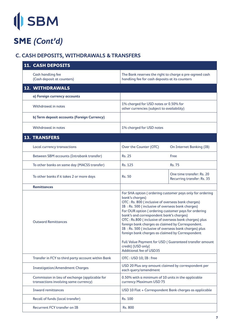# **ISBM**

### **SME (Cont'd)**

### **C. CASH DEPOSITS, WITHDRAWALS & TRANSFERS**

| <b>11. CASH DEPOSITS</b>                                                                |                                                                                                                                                                                                                                                                                                                                                                                                                                                                                                                                                                                                                                      |                                                         |
|-----------------------------------------------------------------------------------------|--------------------------------------------------------------------------------------------------------------------------------------------------------------------------------------------------------------------------------------------------------------------------------------------------------------------------------------------------------------------------------------------------------------------------------------------------------------------------------------------------------------------------------------------------------------------------------------------------------------------------------------|---------------------------------------------------------|
| Cash handling fee<br>(Cash deposit at counters)                                         | The Bank reserves the right to charge a pre-agreed cash<br>handling fee for cash deposits at its counters                                                                                                                                                                                                                                                                                                                                                                                                                                                                                                                            |                                                         |
| 12. WITHDRAWALS                                                                         |                                                                                                                                                                                                                                                                                                                                                                                                                                                                                                                                                                                                                                      |                                                         |
| a) Foreign currency accounts                                                            |                                                                                                                                                                                                                                                                                                                                                                                                                                                                                                                                                                                                                                      |                                                         |
| <b>Withdrawal in notes</b>                                                              | 1% charged for USD notes or 0.50% for<br>other currencies (subject to availability)                                                                                                                                                                                                                                                                                                                                                                                                                                                                                                                                                  |                                                         |
| b) Term deposit accounts (Foreign Currency)                                             |                                                                                                                                                                                                                                                                                                                                                                                                                                                                                                                                                                                                                                      |                                                         |
| <b>Withdrawal in notes</b>                                                              | 1% charged for USD notes                                                                                                                                                                                                                                                                                                                                                                                                                                                                                                                                                                                                             |                                                         |
| <b>13. TRANSFERS</b>                                                                    |                                                                                                                                                                                                                                                                                                                                                                                                                                                                                                                                                                                                                                      |                                                         |
| Local currency transactions                                                             | Over the Counter (OTC)                                                                                                                                                                                                                                                                                                                                                                                                                                                                                                                                                                                                               | On Internet Banking (IB)                                |
| Between SBM accounts (Intrabank transfer)                                               | <b>Rs. 25</b>                                                                                                                                                                                                                                                                                                                                                                                                                                                                                                                                                                                                                        | Free                                                    |
| To other banks on same day (MACSS transfer)                                             | Rs. 125                                                                                                                                                                                                                                                                                                                                                                                                                                                                                                                                                                                                                              | <b>Rs. 75</b>                                           |
| To other banks if it takes 2 or more days                                               | <b>Rs. 50</b>                                                                                                                                                                                                                                                                                                                                                                                                                                                                                                                                                                                                                        | One time transfer: Rs. 20<br>Recurring transfer: Rs. 35 |
| <b>Remittances</b>                                                                      |                                                                                                                                                                                                                                                                                                                                                                                                                                                                                                                                                                                                                                      |                                                         |
| <b>Outward Remittances</b>                                                              | For SHA option (ordering customer pays only for ordering<br>bank's charges)<br>OTC: Rs. 800 (inclusive of overseas bank charges)<br>IB: Rs. 500 (inclusive of overseas bank charges)<br>For OUR option (ordering customer pays for ordering<br>bank's and correspondent bank's charges)<br>OTC: Rs.800 (inclusive of overseas bank charges) plus<br>foreign bank charges as claimed by Correspondent.<br>IB: Rs. 500 (inclusive of overseas bank charges) plus<br>foreign bank charges as claimed by Correspondent<br>Full Value Payment for USD (Guaranteed transfer amount<br>credit) [USD only]<br><b>Additional fee of USD35</b> |                                                         |
| Transfer in FCY to third party account within Bank                                      | OTC: USD 10; IB: free                                                                                                                                                                                                                                                                                                                                                                                                                                                                                                                                                                                                                |                                                         |
| <b>Investigation/Amendment Charges</b>                                                  | USD 20 Plus any amount claimed by correspondent per<br>each query/amendment                                                                                                                                                                                                                                                                                                                                                                                                                                                                                                                                                          |                                                         |
| Commission in lieu of exchange (applicable for<br>transactions involving same currency) | 0.50% with a minimum of 10 units in the applicable<br>currency Maximum USD 75                                                                                                                                                                                                                                                                                                                                                                                                                                                                                                                                                        |                                                         |
| <b>Inward remittances</b>                                                               | USD 10 Flat + Correspondent Bank charges as applicable                                                                                                                                                                                                                                                                                                                                                                                                                                                                                                                                                                               |                                                         |
| Recall of funds (local transfer)                                                        | Rs. 100                                                                                                                                                                                                                                                                                                                                                                                                                                                                                                                                                                                                                              |                                                         |
| <b>Recurrent FCY transfer on IB</b>                                                     | Rs. 800                                                                                                                                                                                                                                                                                                                                                                                                                                                                                                                                                                                                                              |                                                         |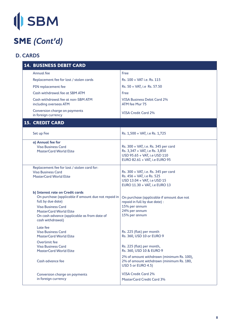### **SME (Cont'd)**

#### **D. CARDS**

| <b>14. BUSINESS DEBIT CARD</b>                                                                                                                                                                                                                |                                                                                                                                         |
|-----------------------------------------------------------------------------------------------------------------------------------------------------------------------------------------------------------------------------------------------|-----------------------------------------------------------------------------------------------------------------------------------------|
| Annual fee                                                                                                                                                                                                                                    | Free                                                                                                                                    |
| Replacement fee for lost / stolen cards                                                                                                                                                                                                       | Rs. 100 + VAT i.e. Rs. 115                                                                                                              |
| PIN replacement fee                                                                                                                                                                                                                           | Rs. 50 + VAT, i.e Rs. 57.50                                                                                                             |
| Cash withdrawal fee at SBM ATM                                                                                                                                                                                                                | Free                                                                                                                                    |
| Cash withdrawal fee at non-SBM ATM<br>including overseas ATM                                                                                                                                                                                  | <b>VISA Business Debit Card 2%</b><br>ATM fee Mur 75                                                                                    |
| Conversion charge on payments<br>in foreign currency                                                                                                                                                                                          | <b>VISA Credit Card 2%</b>                                                                                                              |
| <b>15. CREDIT CARD</b>                                                                                                                                                                                                                        |                                                                                                                                         |
| Set up Fee                                                                                                                                                                                                                                    | Rs. 1,500 + VAT, i.e Rs. 1,725                                                                                                          |
| a) Annual fee for<br><b>Visa Business Card</b><br><b>MasterCard World Elite</b>                                                                                                                                                               | Rs. 300 + VAT, i.e. Rs. 345 per card<br>Rs. 3,347 + VAT, i.e Rs. 3,850<br>USD 95.65 + VAT, i.e USD 110<br>EURO 82.61 + VAT, i.e EURO 95 |
| Replacement fee for lost / stolen card for:<br><b>Visa Business Card</b><br><b>MasterCard World Elite</b>                                                                                                                                     | Rs. 300 + VAT, i.e. Rs. 345 per card<br>Rs. 456 + VAT, i.e Rs. 525<br>USD 13.04 + VAT, i.e USD 15<br>EURO 11.30 + VAT, i.e EURO 13      |
| b) Interest rate on Credit cards<br>On purchase (applicable if amount due not repaid in<br>full by due date)<br><b>Visa Business Card</b><br><b>MasterCard World Elite</b><br>On cash advance (applicable as from date of<br>cash withdrawal) | On purchase (applicable if amount due not<br>repaid in full by due date) :<br>15% per annum<br>24% per annum<br>15% per annum           |
| Late fee<br><b>Visa Business Card</b><br>MasterCard World Elite                                                                                                                                                                               | Rs. 225 (flat) per month<br>Rs. 360, USD 10 or EURO 9                                                                                   |
| Overlimit fee<br><b>Visa Business Card</b><br><b>MasterCard World Elite</b>                                                                                                                                                                   | Rs. 225 (flat) per month,<br>Rs. 360, USD 10 & EURO 9                                                                                   |
| Cash advance fee                                                                                                                                                                                                                              | 2% of amount withdrawn (minimum Rs. 100),<br>2% of amount withdrawn (minimum Rs. 180,<br>USD 5 or EURO 4.5)                             |
| Conversion charge on payments<br>in foreign currency                                                                                                                                                                                          | <b>VISA Credit Card 2%</b><br><b>MasterCard Credit Card 3%</b>                                                                          |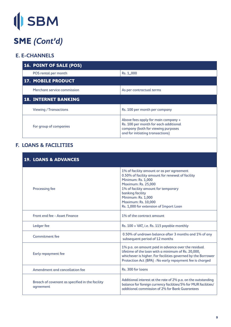## **SME (Cont'd)**

#### **E. E-CHANNELS**

| <b>16. POINT OF SALE (POS)</b> |                                                                                                                                                        |
|--------------------------------|--------------------------------------------------------------------------------------------------------------------------------------------------------|
| POS rental per month           | Rs. 1,,000                                                                                                                                             |
| <b>17. MOBILE PRODUCT</b>      |                                                                                                                                                        |
| Merchant service commission    | As per contractual terms                                                                                                                               |
| <b>18. INTERNET BANKING</b>    |                                                                                                                                                        |
| <b>Viewing / Transactions</b>  | Rs. 100 per month per company                                                                                                                          |
| For group of companies         | Above fees apply for main company +<br>Rs. 100 per month for each additional<br>company (both for viewing purposes<br>and for initiating transactions) |

#### **F. LOANS & FACILITIES**

| <b>19. LOANS &amp; ADVANCES</b>                              |                                                                                                                                                                                                                                                                                                     |
|--------------------------------------------------------------|-----------------------------------------------------------------------------------------------------------------------------------------------------------------------------------------------------------------------------------------------------------------------------------------------------|
| Processing fee                                               | 1% of facility amount or as per agreement<br>0.50% of facility amount for renewal of facility<br>Minimum: Rs. 1,000<br><b>Maximum: Rs. 25,000</b><br>1% of facility amount for temporary<br>banking facility<br>Minimum: Rs. 1,000<br>Maximum: Rs. 10,000<br>Rs. 1,000 for extension of Import Loan |
| Front end fee - Asset Finance                                | 1% of the contract amount                                                                                                                                                                                                                                                                           |
| Ledger fee                                                   | Rs. 100 + VAT, i.e. Rs. 115 payable monthly                                                                                                                                                                                                                                                         |
| Commitment fee                                               | 0.50% of undrawn balance after 3 months and 1% of any<br>subsequent period of 12 months                                                                                                                                                                                                             |
| Early repayment fee                                          | 1% p.a. on amount paid in advance over the residual<br>lifetime of the loan with a minimum of Rs. 20,000,<br>whichever is higher. For facilities governed by the Borrower<br>Protection Act (BPA) : No early repayment fee is charged                                                               |
| Amendment and cancellation fee                               | Rs. 300 for loans                                                                                                                                                                                                                                                                                   |
| Breach of covenant as specified in the facility<br>agreement | Additional interest at the rate of 2% p.a. on the outstanding<br>balance for foreign currency facilities/5% for MUR facilities/<br>additional commission of 2% for Bank Guarantees                                                                                                                  |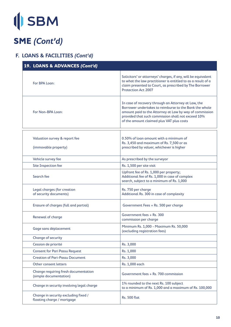# **OSBM**

### **SME (Cont'd)**

#### **F. LOANS & FACILITIES (Cont'd)**

| 19. LOANS & ADVANCES (Cont'd)                                      |                                                                                                                                                                                                                                                                             |
|--------------------------------------------------------------------|-----------------------------------------------------------------------------------------------------------------------------------------------------------------------------------------------------------------------------------------------------------------------------|
| For BPA Loan:                                                      | Solicitors' or attorneys' charges, if any, will be equivalent<br>to what the law practitioner is entitled to as a result of a<br>claim presented to Court, as prescribed by The Borrower<br><b>Protection Act 2007</b>                                                      |
| For Non-BPA Loan:                                                  | In case of recovery through an Attorney at Law, the<br>Borrower undertakes to reimburse to the Bank the whole<br>amount paid to the Attorney at Law by way of commission<br>provided that such commission shall not exceed 10%<br>of the amount claimed plus VAT plus costs |
| Valuation survey & report fee<br>(immovable property)              | 0.50% of loan amount with a minimum of<br>Rs. 3,450 and maximum of Rs. 7,500 or as<br>prescribed by valuer, whichever is higher                                                                                                                                             |
| Vehicle survey fee                                                 | As prescribed by the surveyor                                                                                                                                                                                                                                               |
| Site Inspection fee                                                | Rs. 1,500 per site visit                                                                                                                                                                                                                                                    |
| Search fee                                                         | Upfront fee of Rs. 1,000 per property;<br>Additional fee of Rs. 1,000 in case of complex<br>search, subject to a minimum of Rs. 1,000                                                                                                                                       |
| Legal charges (for creation<br>of security documents)              | Rs. 750 per charge<br>Additional Rs. 300 in case of complexity                                                                                                                                                                                                              |
| Erasure of charges (full and partial)                              | Government Fees + Rs. 500 per charge                                                                                                                                                                                                                                        |
| Renewal of charge                                                  | Government fees + Rs. 300<br>commission per charge                                                                                                                                                                                                                          |
| Gage sans déplacement                                              | Minimum Rs. 1,000 - Maximum Rs. 50,000<br>(excluding registration fees)                                                                                                                                                                                                     |
| Change of security                                                 |                                                                                                                                                                                                                                                                             |
| Cession de priorité                                                | Rs. 3,000                                                                                                                                                                                                                                                                   |
| <b>Consent for Pari Passu Request</b>                              | Rs. 1,000                                                                                                                                                                                                                                                                   |
| <b>Creation of Pari-Passu Document</b>                             | Rs. 3,000                                                                                                                                                                                                                                                                   |
| Other consent letters                                              | Rs. 1,000 each                                                                                                                                                                                                                                                              |
| Change requiring fresh documentation<br>(simple documentation)     | Government fees + Rs. 700 commission                                                                                                                                                                                                                                        |
| Change in security involving legal charge                          | 1% rounded to the next Rs. 100 subject<br>to a minimum of Rs. 1,000 and a maximum of Rs. 100,000                                                                                                                                                                            |
| Change in security excluding fixed /<br>floating charge / mortgage | <b>Rs. 500 flat</b>                                                                                                                                                                                                                                                         |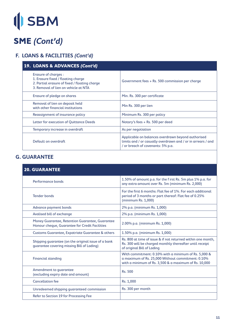# **OSBM**

### **SME (Cont'd)**

### **F. LOANS & FACILITIES (Cont'd)**

| 19. LOANS & ADVANCES (Cont'd)                                                                                                                       |                                                                                                                                                         |
|-----------------------------------------------------------------------------------------------------------------------------------------------------|---------------------------------------------------------------------------------------------------------------------------------------------------------|
| Erasure of charges :<br>1. Erasure fixed / floating charge<br>2. Partial erasure of fixed / floating charge<br>3. Removal of lien on vehicle at NTA | Government fees $+$ Rs. 500 commission per charge                                                                                                       |
| Erasure of pledge on shares                                                                                                                         | Min. Rs. 300 per certificate                                                                                                                            |
| Removal of lien on deposit held<br>with other financial institutions                                                                                | Min Rs. 300 per lien                                                                                                                                    |
| Reassignment of insurance policy                                                                                                                    | Minimum Rs. 300 per policy                                                                                                                              |
| Letter for execution of Quittance Deeds                                                                                                             | Notary's fees $+$ Rs. 500 per deed                                                                                                                      |
| Temporary increase in overdraft                                                                                                                     | As per negotiation                                                                                                                                      |
| Default on overdraft                                                                                                                                | Applicable on balances overdrawn beyond authorised<br>limits and / or casually overdrawn and / or in arrears / and<br>/ or breach of covenants: 5% p.a. |

#### **G. GUARANTEE**

| <b>20. GUARANTEE</b>                                                                              |                                                                                                                                                                    |
|---------------------------------------------------------------------------------------------------|--------------------------------------------------------------------------------------------------------------------------------------------------------------------|
| Performance bonds                                                                                 | 1.50% of amount p.a. for the f irst Rs. 5m plus 1% p.a. for<br>any extra amount over Rs. 5m (minimum Rs. 2,000)                                                    |
| <b>Tender bonds</b>                                                                               | For the first 6 months: Flat fee of 1%. For each additional<br>period of 3 months or part thereof: Flat fee of 0.25%<br>(minimum Rs. 1,000)                        |
| Advance payment bonds                                                                             | 2% p.a. (minimum Rs. 1,000)                                                                                                                                        |
| Avalised bill of exchange                                                                         | 2% p.a. (minimum Rs. 1,000)                                                                                                                                        |
| Money Guarantee, Retention Guarantee, Guarantee<br>Honour cheque, Guarantee for Credit Facilities | 2.00% p.a. (minimum Rs. 1,000)                                                                                                                                     |
| Customs Guarantee, Expatriate Guarantee & others                                                  | 1.50% p.a. (minimum Rs. 1,000)                                                                                                                                     |
| Shipping quarantee (on the original issue of a bank<br>quarantee covering missing Bill of Lading) | Rs. 800 at time of issue & if not returned within one month,<br>Rs. 300 will be charged monthly thereafter until receipt<br>of original Bill of Lading             |
| <b>Financial standing</b>                                                                         | With commitment: 0.10% with a minimum of Rs. 5,000 &<br>a maximum of Rs. 25,000 Without commitment: 0.10%<br>with a minimum of Rs. 3,500 & a maximum of Rs. 10,000 |
| Amendment to quarantee<br>(excluding expiry date and amount)                                      | Rs. 500                                                                                                                                                            |
| <b>Cancellation fee</b>                                                                           | Rs. 1,000                                                                                                                                                          |
| Unredeemed shipping quaranteed commission                                                         | Rs. 300 per month                                                                                                                                                  |
| Refer to Section 19 for Processing Fee                                                            |                                                                                                                                                                    |